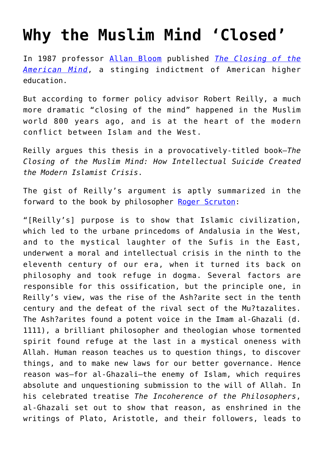## **[Why the Muslim Mind 'Closed'](https://intellectualtakeout.org/2016/06/why-the-muslim-mind-closed/)**

In 1987 professor [Allan Bloom](http://ebooks.rahnuma.org/religion/Orientalist/Robert.R.Reilly_The%20Closing%20of%20the%20Muslim%20Mind.pdf) published *[The Closing of the](http://amzn.to/25J5bZt) [American Mind](http://amzn.to/25J5bZt)*, a stinging indictment of American higher education.

But according to former policy advisor Robert Reilly, a much more dramatic "closing of the mind" happened in the Muslim world 800 years ago, and is at the heart of the modern conflict between Islam and the West.

Reilly argues this thesis in a provocatively-titled book—*The Closing of the Muslim Mind: How Intellectual Suicide Created the Modern Islamist Crisis*.

The gist of Reilly's argument is aptly summarized in the forward to the book by philosopher [Roger Scruton:](https://www.intellectualtakeout.org/blog/9-brilliant-quotes-one-smart-dude)

"[Reilly's] purpose is to show that Islamic civilization, which led to the urbane princedoms of Andalusia in the West, and to the mystical laughter of the Sufis in the East, underwent a moral and intellectual crisis in the ninth to the eleventh century of our era, when it turned its back on philosophy and took refuge in dogma. Several factors are responsible for this ossification, but the principle one, in Reilly's view, was the rise of the Ash?arite sect in the tenth century and the defeat of the rival sect of the Mu?tazalites. The Ash?arites found a potent voice in the Imam al-Ghazali (d. 1111), a brilliant philosopher and theologian whose tormented spirit found refuge at the last in a mystical oneness with Allah. Human reason teaches us to question things, to discover things, and to make new laws for our better governance. Hence reason was—for al-Ghazali—the enemy of Islam, which requires absolute and unquestioning submission to the will of Allah. In his celebrated treatise *The Incoherence of the Philosophers*, al-Ghazali set out to show that reason, as enshrined in the writings of Plato, Aristotle, and their followers, leads to